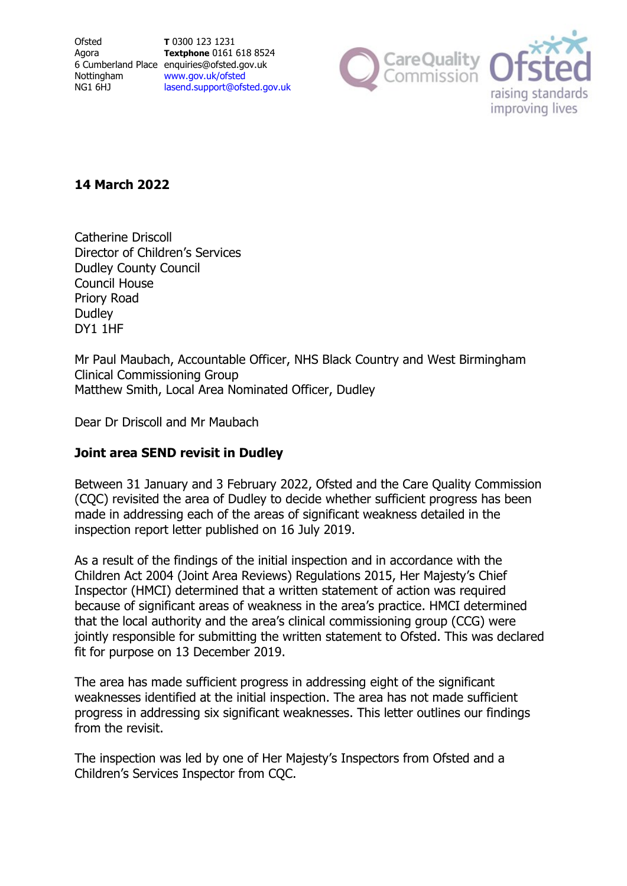**Ofsted** Agora Nottingham NG1 6HJ

6 Cumberland Place enquiries@ofsted.gov.uk **T** 0300 123 1231 **Textphone** 0161 618 8524 [www.gov.uk/ofsted](http://www.gov.uk/ofsted) [lasend.support@ofsted.gov.uk](mailto:lasend.support@ofsted.gov.ukvvvvv.uk)



# **14 March 2022**

Catherine Driscoll Director of Children's Services Dudley County Council Council House Priory Road **Dudley** DY1 1HF

Mr Paul Maubach, Accountable Officer, NHS Black Country and West Birmingham Clinical Commissioning Group Matthew Smith, Local Area Nominated Officer, Dudley

Dear Dr Driscoll and Mr Maubach

# **Joint area SEND revisit in Dudley**

Between 31 January and 3 February 2022, Ofsted and the Care Quality Commission (CQC) revisited the area of Dudley to decide whether sufficient progress has been made in addressing each of the areas of significant weakness detailed in the inspection report letter published on 16 July 2019.

As a result of the findings of the initial inspection and in accordance with the Children Act 2004 (Joint Area Reviews) Regulations 2015, Her Majesty's Chief Inspector (HMCI) determined that a written statement of action was required because of significant areas of weakness in the area's practice. HMCI determined that the local authority and the area's clinical commissioning group (CCG) were jointly responsible for submitting the written statement to Ofsted. This was declared fit for purpose on 13 December 2019.

The area has made sufficient progress in addressing eight of the significant weaknesses identified at the initial inspection. The area has not made sufficient progress in addressing six significant weaknesses. This letter outlines our findings from the revisit.

The inspection was led by one of Her Majesty's Inspectors from Ofsted and a Children's Services Inspector from CQC.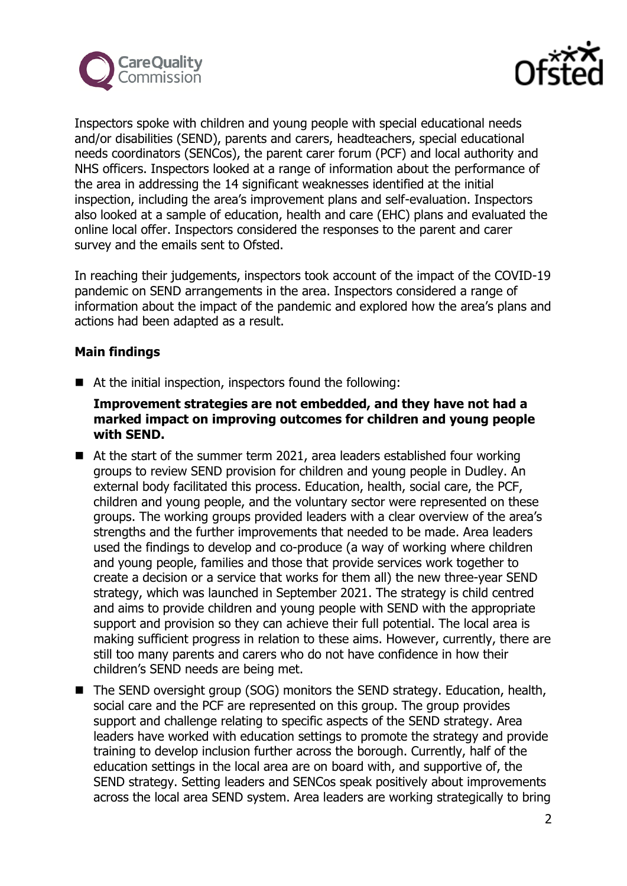



Inspectors spoke with children and young people with special educational needs and/or disabilities (SEND), parents and carers, headteachers, special educational needs coordinators (SENCos), the parent carer forum (PCF) and local authority and NHS officers. Inspectors looked at a range of information about the performance of the area in addressing the 14 significant weaknesses identified at the initial inspection, including the area's improvement plans and self-evaluation. Inspectors also looked at a sample of education, health and care (EHC) plans and evaluated the online local offer. Inspectors considered the responses to the parent and carer survey and the emails sent to Ofsted.

In reaching their judgements, inspectors took account of the impact of the COVID-19 pandemic on SEND arrangements in the area. Inspectors considered a range of information about the impact of the pandemic and explored how the area's plans and actions had been adapted as a result.

## **Main findings**

■ At the initial inspection, inspectors found the following:

## **Improvement strategies are not embedded, and they have not had a marked impact on improving outcomes for children and young people with SEND.**

- At the start of the summer term 2021, area leaders established four working groups to review SEND provision for children and young people in Dudley. An external body facilitated this process. Education, health, social care, the PCF, children and young people, and the voluntary sector were represented on these groups. The working groups provided leaders with a clear overview of the area's strengths and the further improvements that needed to be made. Area leaders used the findings to develop and co-produce (a way of working where children and young people, families and those that provide services work together to create a decision or a service that works for them all) the new three-year SEND strategy, which was launched in September 2021. The strategy is child centred and aims to provide children and young people with SEND with the appropriate support and provision so they can achieve their full potential. The local area is making sufficient progress in relation to these aims. However, currently, there are still too many parents and carers who do not have confidence in how their children's SEND needs are being met.
- The SEND oversight group (SOG) monitors the SEND strategy. Education, health, social care and the PCF are represented on this group. The group provides support and challenge relating to specific aspects of the SEND strategy. Area leaders have worked with education settings to promote the strategy and provide training to develop inclusion further across the borough. Currently, half of the education settings in the local area are on board with, and supportive of, the SEND strategy. Setting leaders and SENCos speak positively about improvements across the local area SEND system. Area leaders are working strategically to bring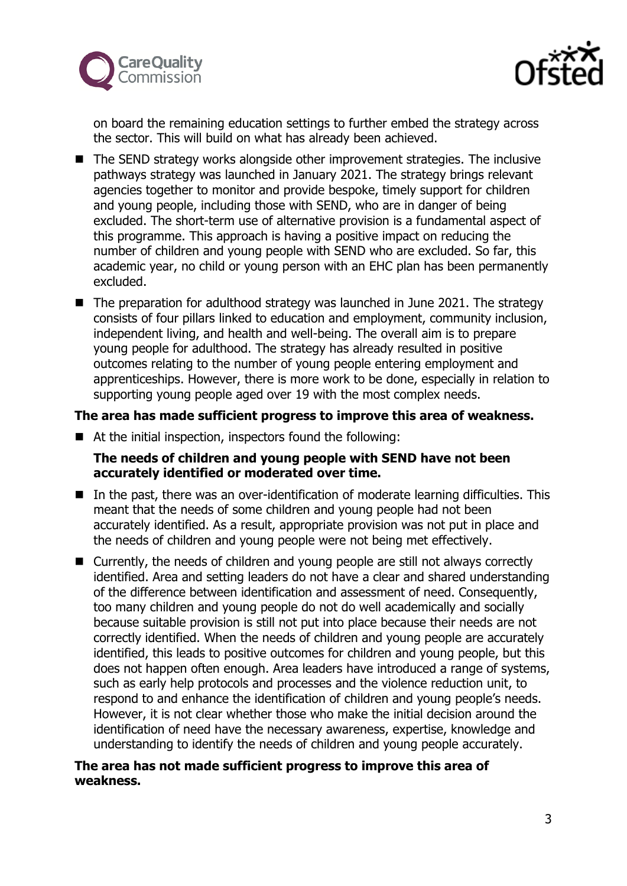



on board the remaining education settings to further embed the strategy across the sector. This will build on what has already been achieved.

- The SEND strategy works alongside other improvement strategies. The inclusive pathways strategy was launched in January 2021. The strategy brings relevant agencies together to monitor and provide bespoke, timely support for children and young people, including those with SEND, who are in danger of being excluded. The short-term use of alternative provision is a fundamental aspect of this programme. This approach is having a positive impact on reducing the number of children and young people with SEND who are excluded. So far, this academic year, no child or young person with an EHC plan has been permanently excluded.
- The preparation for adulthood strategy was launched in June 2021. The strategy consists of four pillars linked to education and employment, community inclusion, independent living, and health and well-being. The overall aim is to prepare young people for adulthood. The strategy has already resulted in positive outcomes relating to the number of young people entering employment and apprenticeships. However, there is more work to be done, especially in relation to supporting young people aged over 19 with the most complex needs.

## **The area has made sufficient progress to improve this area of weakness.**

■ At the initial inspection, inspectors found the following:

# **The needs of children and young people with SEND have not been accurately identified or moderated over time.**

- In the past, there was an over-identification of moderate learning difficulties. This meant that the needs of some children and young people had not been accurately identified. As a result, appropriate provision was not put in place and the needs of children and young people were not being met effectively.
- Currently, the needs of children and young people are still not always correctly identified. Area and setting leaders do not have a clear and shared understanding of the difference between identification and assessment of need. Consequently, too many children and young people do not do well academically and socially because suitable provision is still not put into place because their needs are not correctly identified. When the needs of children and young people are accurately identified, this leads to positive outcomes for children and young people, but this does not happen often enough. Area leaders have introduced a range of systems, such as early help protocols and processes and the violence reduction unit, to respond to and enhance the identification of children and young people's needs. However, it is not clear whether those who make the initial decision around the identification of need have the necessary awareness, expertise, knowledge and understanding to identify the needs of children and young people accurately.

## **The area has not made sufficient progress to improve this area of weakness.**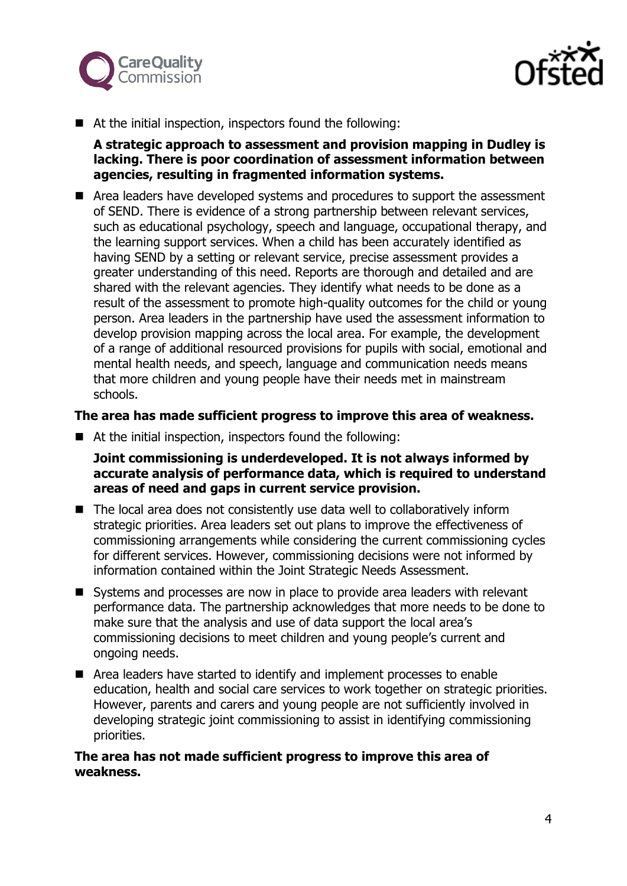



■ At the initial inspection, inspectors found the following:

**A strategic approach to assessment and provision mapping in Dudley is lacking. There is poor coordination of assessment information between agencies, resulting in fragmented information systems.**

■ Area leaders have developed systems and procedures to support the assessment of SEND. There is evidence of a strong partnership between relevant services, such as educational psychology, speech and language, occupational therapy, and the learning support services. When a child has been accurately identified as having SEND by a setting or relevant service, precise assessment provides a greater understanding of this need. Reports are thorough and detailed and are shared with the relevant agencies. They identify what needs to be done as a result of the assessment to promote high-quality outcomes for the child or young person. Area leaders in the partnership have used the assessment information to develop provision mapping across the local area. For example, the development of a range of additional resourced provisions for pupils with social, emotional and mental health needs, and speech, language and communication needs means that more children and young people have their needs met in mainstream schools.

#### **The area has made sufficient progress to improve this area of weakness.**

■ At the initial inspection, inspectors found the following:

## **Joint commissioning is underdeveloped. It is not always informed by accurate analysis of performance data, which is required to understand areas of need and gaps in current service provision.**

- The local area does not consistently use data well to collaboratively inform strategic priorities. Area leaders set out plans to improve the effectiveness of commissioning arrangements while considering the current commissioning cycles for different services. However, commissioning decisions were not informed by information contained within the Joint Strategic Needs Assessment.
- Systems and processes are now in place to provide area leaders with relevant performance data. The partnership acknowledges that more needs to be done to make sure that the analysis and use of data support the local area's commissioning decisions to meet children and young people's current and ongoing needs.
- Area leaders have started to identify and implement processes to enable education, health and social care services to work together on strategic priorities. However, parents and carers and young people are not sufficiently involved in developing strategic joint commissioning to assist in identifying commissioning priorities.

#### **The area has not made sufficient progress to improve this area of weakness.**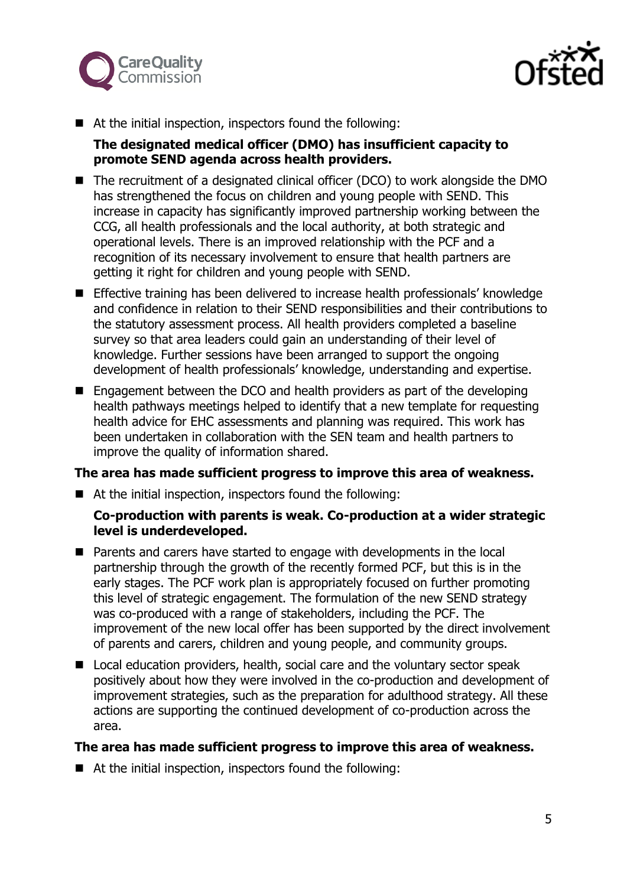



■ At the initial inspection, inspectors found the following:

#### **The designated medical officer (DMO) has insufficient capacity to promote SEND agenda across health providers.**

- The recruitment of a designated clinical officer (DCO) to work alongside the DMO has strengthened the focus on children and young people with SEND. This increase in capacity has significantly improved partnership working between the CCG, all health professionals and the local authority, at both strategic and operational levels. There is an improved relationship with the PCF and a recognition of its necessary involvement to ensure that health partners are getting it right for children and young people with SEND.
- **Effective training has been delivered to increase health professionals' knowledge** and confidence in relation to their SEND responsibilities and their contributions to the statutory assessment process. All health providers completed a baseline survey so that area leaders could gain an understanding of their level of knowledge. Further sessions have been arranged to support the ongoing development of health professionals' knowledge, understanding and expertise.
- Engagement between the DCO and health providers as part of the developing health pathways meetings helped to identify that a new template for requesting health advice for EHC assessments and planning was required. This work has been undertaken in collaboration with the SEN team and health partners to improve the quality of information shared.

# **The area has made sufficient progress to improve this area of weakness.**

■ At the initial inspection, inspectors found the following:

## **Co-production with parents is weak. Co-production at a wider strategic level is underdeveloped.**

- Parents and carers have started to engage with developments in the local partnership through the growth of the recently formed PCF, but this is in the early stages. The PCF work plan is appropriately focused on further promoting this level of strategic engagement. The formulation of the new SEND strategy was co-produced with a range of stakeholders, including the PCF. The improvement of the new local offer has been supported by the direct involvement of parents and carers, children and young people, and community groups.
- Local education providers, health, social care and the voluntary sector speak positively about how they were involved in the co-production and development of improvement strategies, such as the preparation for adulthood strategy. All these actions are supporting the continued development of co-production across the area.

#### **The area has made sufficient progress to improve this area of weakness.**

■ At the initial inspection, inspectors found the following: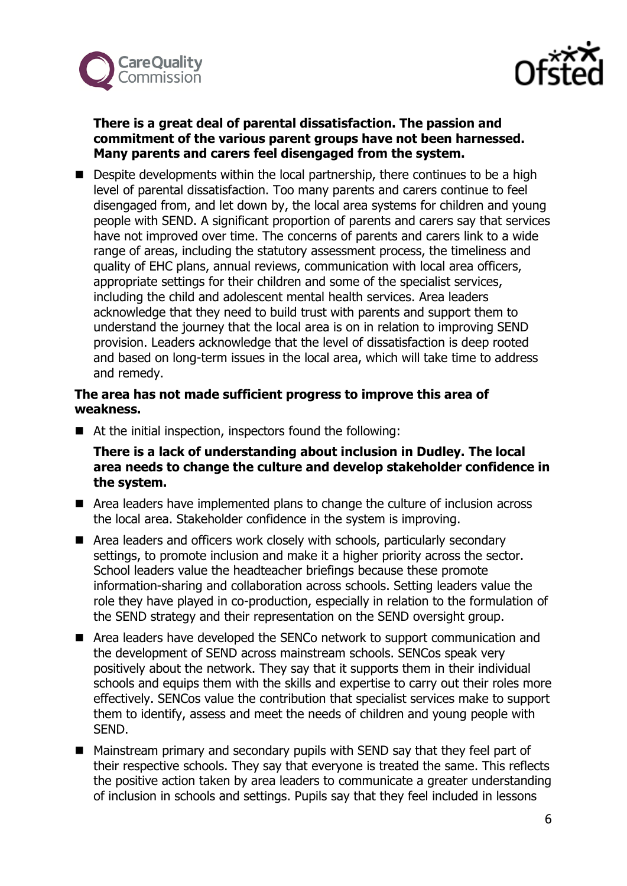



## **There is a great deal of parental dissatisfaction. The passion and commitment of the various parent groups have not been harnessed. Many parents and carers feel disengaged from the system.**

■ Despite developments within the local partnership, there continues to be a high level of parental dissatisfaction. Too many parents and carers continue to feel disengaged from, and let down by, the local area systems for children and young people with SEND. A significant proportion of parents and carers say that services have not improved over time. The concerns of parents and carers link to a wide range of areas, including the statutory assessment process, the timeliness and quality of EHC plans, annual reviews, communication with local area officers, appropriate settings for their children and some of the specialist services, including the child and adolescent mental health services. Area leaders acknowledge that they need to build trust with parents and support them to understand the journey that the local area is on in relation to improving SEND provision. Leaders acknowledge that the level of dissatisfaction is deep rooted and based on long-term issues in the local area, which will take time to address and remedy.

## **The area has not made sufficient progress to improve this area of weakness.**

■ At the initial inspection, inspectors found the following:

**There is a lack of understanding about inclusion in Dudley. The local area needs to change the culture and develop stakeholder confidence in the system.**

- Area leaders have implemented plans to change the culture of inclusion across the local area. Stakeholder confidence in the system is improving.
- Area leaders and officers work closely with schools, particularly secondary settings, to promote inclusion and make it a higher priority across the sector. School leaders value the headteacher briefings because these promote information-sharing and collaboration across schools. Setting leaders value the role they have played in co-production, especially in relation to the formulation of the SEND strategy and their representation on the SEND oversight group.
- Area leaders have developed the SENCo network to support communication and the development of SEND across mainstream schools. SENCos speak very positively about the network. They say that it supports them in their individual schools and equips them with the skills and expertise to carry out their roles more effectively. SENCos value the contribution that specialist services make to support them to identify, assess and meet the needs of children and young people with SEND.
- Mainstream primary and secondary pupils with SEND say that they feel part of their respective schools. They say that everyone is treated the same. This reflects the positive action taken by area leaders to communicate a greater understanding of inclusion in schools and settings. Pupils say that they feel included in lessons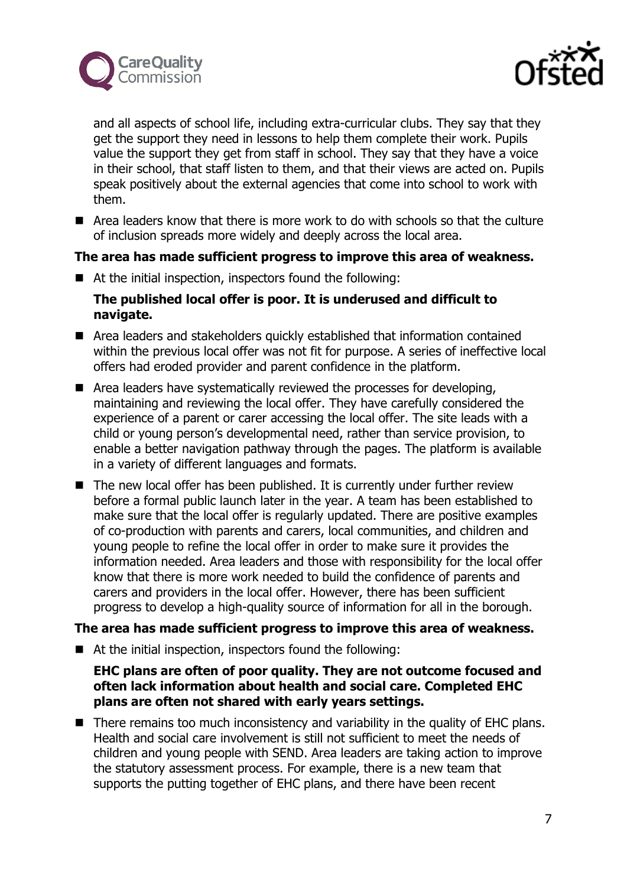



and all aspects of school life, including extra-curricular clubs. They say that they get the support they need in lessons to help them complete their work. Pupils value the support they get from staff in school. They say that they have a voice in their school, that staff listen to them, and that their views are acted on. Pupils speak positively about the external agencies that come into school to work with them.

 $\blacksquare$  Area leaders know that there is more work to do with schools so that the culture of inclusion spreads more widely and deeply across the local area.

#### **The area has made sufficient progress to improve this area of weakness.**

■ At the initial inspection, inspectors found the following:

## **The published local offer is poor. It is underused and difficult to navigate.**

- Area leaders and stakeholders quickly established that information contained within the previous local offer was not fit for purpose. A series of ineffective local offers had eroded provider and parent confidence in the platform.
- Area leaders have systematically reviewed the processes for developing, maintaining and reviewing the local offer. They have carefully considered the experience of a parent or carer accessing the local offer. The site leads with a child or young person's developmental need, rather than service provision, to enable a better navigation pathway through the pages. The platform is available in a variety of different languages and formats.
- The new local offer has been published. It is currently under further review before a formal public launch later in the year. A team has been established to make sure that the local offer is regularly updated. There are positive examples of co-production with parents and carers, local communities, and children and young people to refine the local offer in order to make sure it provides the information needed. Area leaders and those with responsibility for the local offer know that there is more work needed to build the confidence of parents and carers and providers in the local offer. However, there has been sufficient progress to develop a high-quality source of information for all in the borough.

#### **The area has made sufficient progress to improve this area of weakness.**

■ At the initial inspection, inspectors found the following:

## **EHC plans are often of poor quality. They are not outcome focused and often lack information about health and social care. Completed EHC plans are often not shared with early years settings.**

■ There remains too much inconsistency and variability in the quality of EHC plans. Health and social care involvement is still not sufficient to meet the needs of children and young people with SEND. Area leaders are taking action to improve the statutory assessment process. For example, there is a new team that supports the putting together of EHC plans, and there have been recent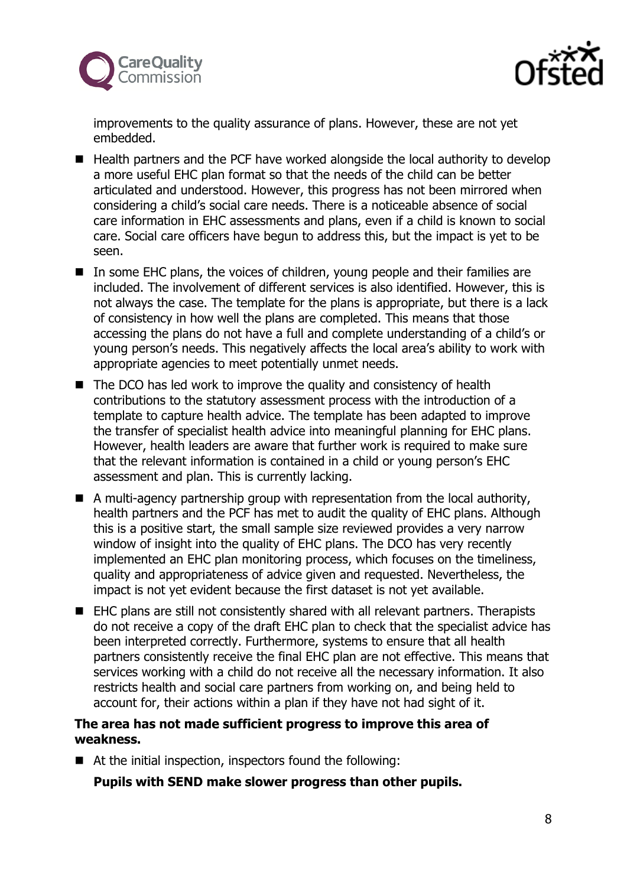



improvements to the quality assurance of plans. However, these are not yet embedded.

- $\blacksquare$  Health partners and the PCF have worked alongside the local authority to develop a more useful EHC plan format so that the needs of the child can be better articulated and understood. However, this progress has not been mirrored when considering a child's social care needs. There is a noticeable absence of social care information in EHC assessments and plans, even if a child is known to social care. Social care officers have begun to address this, but the impact is yet to be seen.
- In some EHC plans, the voices of children, young people and their families are included. The involvement of different services is also identified. However, this is not always the case. The template for the plans is appropriate, but there is a lack of consistency in how well the plans are completed. This means that those accessing the plans do not have a full and complete understanding of a child's or young person's needs. This negatively affects the local area's ability to work with appropriate agencies to meet potentially unmet needs.
- $\blacksquare$  The DCO has led work to improve the quality and consistency of health contributions to the statutory assessment process with the introduction of a template to capture health advice. The template has been adapted to improve the transfer of specialist health advice into meaningful planning for EHC plans. However, health leaders are aware that further work is required to make sure that the relevant information is contained in a child or young person's EHC assessment and plan. This is currently lacking.
- A multi-agency partnership group with representation from the local authority, health partners and the PCF has met to audit the quality of EHC plans. Although this is a positive start, the small sample size reviewed provides a very narrow window of insight into the quality of EHC plans. The DCO has very recently implemented an EHC plan monitoring process, which focuses on the timeliness, quality and appropriateness of advice given and requested. Nevertheless, the impact is not yet evident because the first dataset is not yet available.
- EHC plans are still not consistently shared with all relevant partners. Therapists do not receive a copy of the draft EHC plan to check that the specialist advice has been interpreted correctly. Furthermore, systems to ensure that all health partners consistently receive the final EHC plan are not effective. This means that services working with a child do not receive all the necessary information. It also restricts health and social care partners from working on, and being held to account for, their actions within a plan if they have not had sight of it.

# **The area has not made sufficient progress to improve this area of weakness.**

■ At the initial inspection, inspectors found the following:

# **Pupils with SEND make slower progress than other pupils.**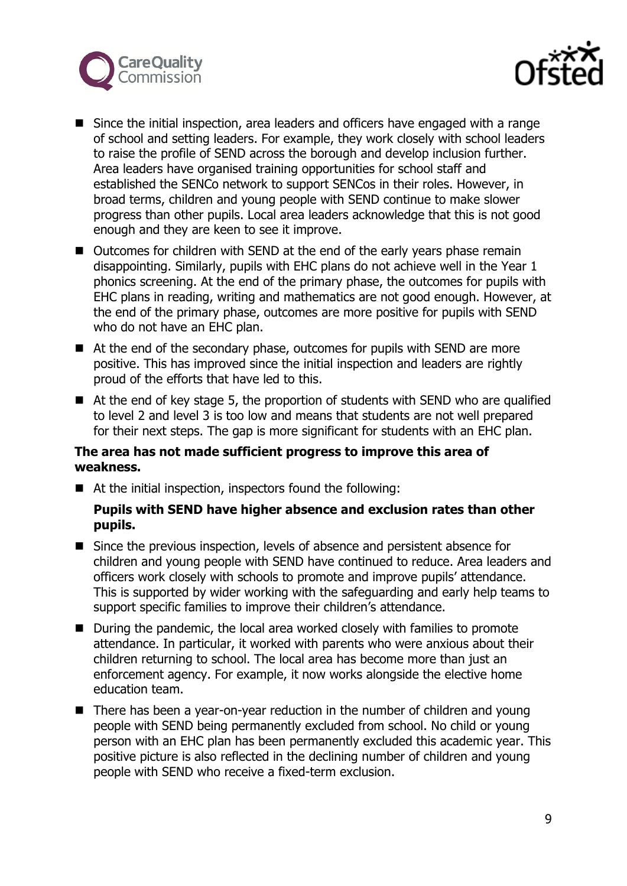



- Since the initial inspection, area leaders and officers have engaged with a range of school and setting leaders. For example, they work closely with school leaders to raise the profile of SEND across the borough and develop inclusion further. Area leaders have organised training opportunities for school staff and established the SENCo network to support SENCos in their roles. However, in broad terms, children and young people with SEND continue to make slower progress than other pupils. Local area leaders acknowledge that this is not good enough and they are keen to see it improve.
- Outcomes for children with SEND at the end of the early years phase remain disappointing. Similarly, pupils with EHC plans do not achieve well in the Year 1 phonics screening. At the end of the primary phase, the outcomes for pupils with EHC plans in reading, writing and mathematics are not good enough. However, at the end of the primary phase, outcomes are more positive for pupils with SEND who do not have an EHC plan.
- At the end of the secondary phase, outcomes for pupils with SEND are more positive. This has improved since the initial inspection and leaders are rightly proud of the efforts that have led to this.
- At the end of key stage 5, the proportion of students with SEND who are qualified to level 2 and level 3 is too low and means that students are not well prepared for their next steps. The gap is more significant for students with an EHC plan.

# **The area has not made sufficient progress to improve this area of weakness.**

■ At the initial inspection, inspectors found the following:

# **Pupils with SEND have higher absence and exclusion rates than other pupils.**

- Since the previous inspection, levels of absence and persistent absence for children and young people with SEND have continued to reduce. Area leaders and officers work closely with schools to promote and improve pupils' attendance. This is supported by wider working with the safeguarding and early help teams to support specific families to improve their children's attendance.
- During the pandemic, the local area worked closely with families to promote attendance. In particular, it worked with parents who were anxious about their children returning to school. The local area has become more than just an enforcement agency. For example, it now works alongside the elective home education team.
- There has been a year-on-year reduction in the number of children and young people with SEND being permanently excluded from school. No child or young person with an EHC plan has been permanently excluded this academic year. This positive picture is also reflected in the declining number of children and young people with SEND who receive a fixed-term exclusion.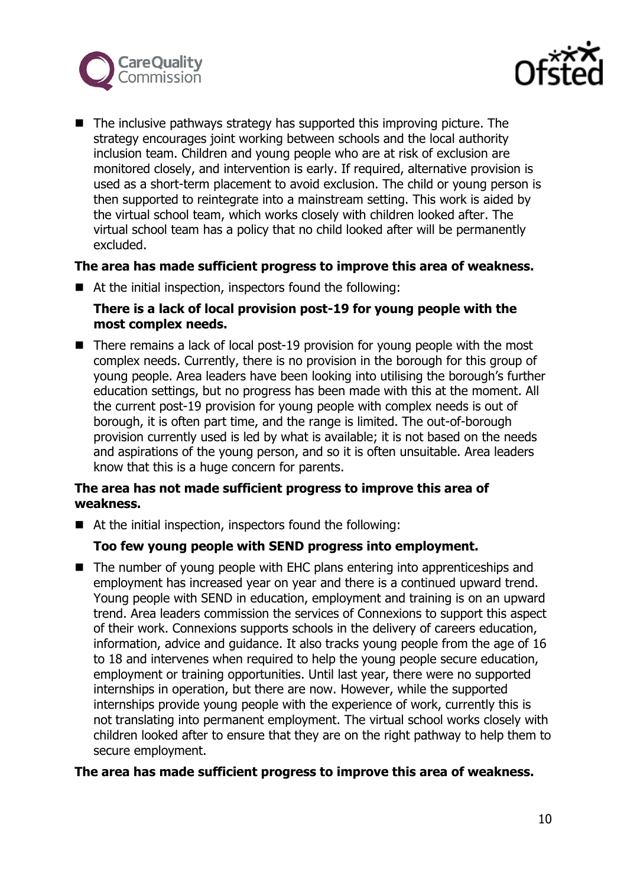



 $\blacksquare$  The inclusive pathways strategy has supported this improving picture. The strategy encourages joint working between schools and the local authority inclusion team. Children and young people who are at risk of exclusion are monitored closely, and intervention is early. If required, alternative provision is used as a short-term placement to avoid exclusion. The child or young person is then supported to reintegrate into a mainstream setting. This work is aided by the virtual school team, which works closely with children looked after. The virtual school team has a policy that no child looked after will be permanently excluded.

## **The area has made sufficient progress to improve this area of weakness.**

■ At the initial inspection, inspectors found the following:

# **There is a lack of local provision post-19 for young people with the most complex needs.**

■ There remains a lack of local post-19 provision for young people with the most complex needs. Currently, there is no provision in the borough for this group of young people. Area leaders have been looking into utilising the borough's further education settings, but no progress has been made with this at the moment. All the current post-19 provision for young people with complex needs is out of borough, it is often part time, and the range is limited. The out-of-borough provision currently used is led by what is available; it is not based on the needs and aspirations of the young person, and so it is often unsuitable. Area leaders know that this is a huge concern for parents.

# **The area has not made sufficient progress to improve this area of weakness.**

■ At the initial inspection, inspectors found the following:

# **Too few young people with SEND progress into employment.**

■ The number of young people with EHC plans entering into apprenticeships and employment has increased year on year and there is a continued upward trend. Young people with SEND in education, employment and training is on an upward trend. Area leaders commission the services of Connexions to support this aspect of their work. Connexions supports schools in the delivery of careers education, information, advice and guidance. It also tracks young people from the age of 16 to 18 and intervenes when required to help the young people secure education, employment or training opportunities. Until last year, there were no supported internships in operation, but there are now. However, while the supported internships provide young people with the experience of work, currently this is not translating into permanent employment. The virtual school works closely with children looked after to ensure that they are on the right pathway to help them to secure employment.

#### **The area has made sufficient progress to improve this area of weakness.**